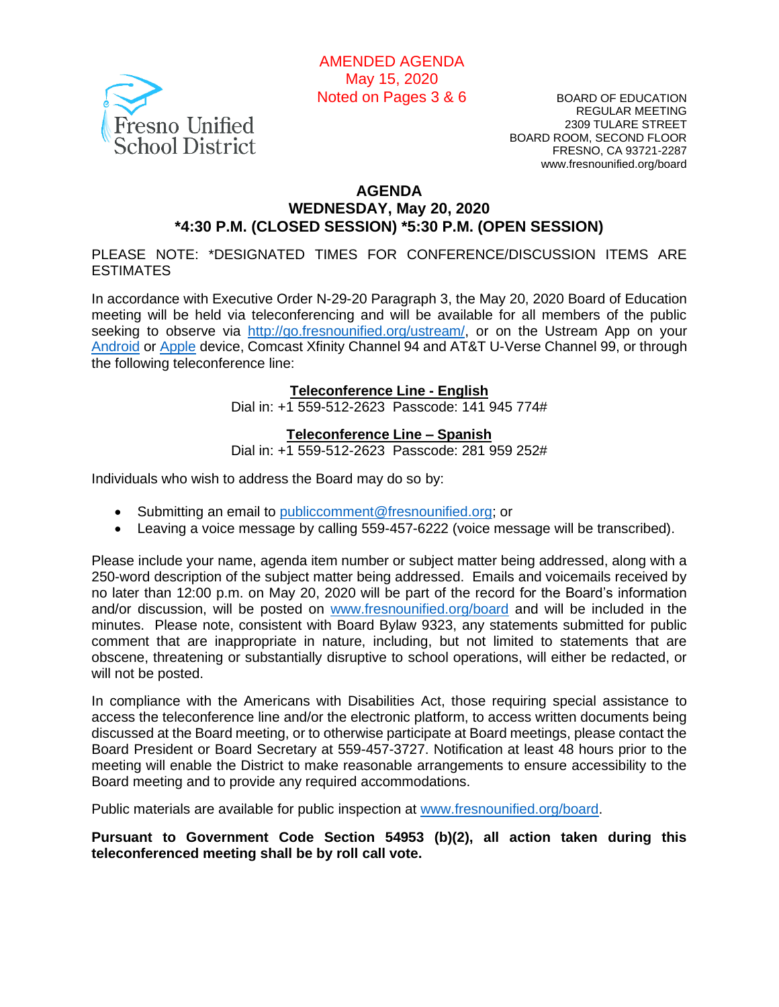

BOARD OF EDUCATION REGULAR MEETING 2309 TULARE STREET BOARD ROOM, SECOND FLOOR FRESNO, CA 93721-2287 www.fresnounified.org/board

#### **AGENDA WEDNESDAY, May 20, 2020 \*4:30 P.M. (CLOSED SESSION) \*5:30 P.M. (OPEN SESSION)**

PLEASE NOTE: \*DESIGNATED TIMES FOR CONFERENCE/DISCUSSION ITEMS ARE ESTIMATES

In accordance with Executive Order N-29-20 Paragraph 3, the May 20, 2020 Board of Education meeting will be held via teleconferencing and will be available for all members of the public seeking to observe via [http://go.fresnounified.org/ustream/,](http://go.fresnounified.org/ustream/) or on the Ustream App on your [Android](https://play.google.com/store/apps/details?id=tv.ustream.ustream&hl=en_US) or [Apple](https://itunes.apple.com/us/app/ustream/id301520250?mt=8) device, Comcast Xfinity Channel 94 and AT&T U-Verse Channel 99, or through the following teleconference line:

#### **Teleconference Line - English**

Dial in: +1 559-512-2623 Passcode: 141 945 774#

#### **Teleconference Line – Spanish**

Dial in: +1 559-512-2623 Passcode: 281 959 252#

Individuals who wish to address the Board may do so by:

- Submitting an email to [publiccomment@fresnounified.org;](mailto:publiccomment@fresnounified.org) or
- Leaving a voice message by calling 559-457-6222 (voice message will be transcribed).

Please include your name, agenda item number or subject matter being addressed, along with a 250-word description of the subject matter being addressed. Emails and voicemails received by no later than 12:00 p.m. on May 20, 2020 will be part of the record for the Board's information and/or discussion, will be posted on [www.fresnounified.org/board](http://www.fresnounified.org/board) and will be included in the minutes. Please note, consistent with Board Bylaw 9323, any statements submitted for public comment that are inappropriate in nature, including, but not limited to statements that are obscene, threatening or substantially disruptive to school operations, will either be redacted, or will not be posted.

In compliance with the Americans with Disabilities Act, those requiring special assistance to access the teleconference line and/or the electronic platform, to access written documents being discussed at the Board meeting, or to otherwise participate at Board meetings, please contact the Board President or Board Secretary at 559-457-3727. Notification at least 48 hours prior to the meeting will enable the District to make reasonable arrangements to ensure accessibility to the Board meeting and to provide any required accommodations.

Public materials are available for public inspection at [www.fresnounified.org/board.](http://www.fresnounified.org/board)

**Pursuant to Government Code Section 54953 (b)(2), all action taken during this teleconferenced meeting shall be by roll call vote.**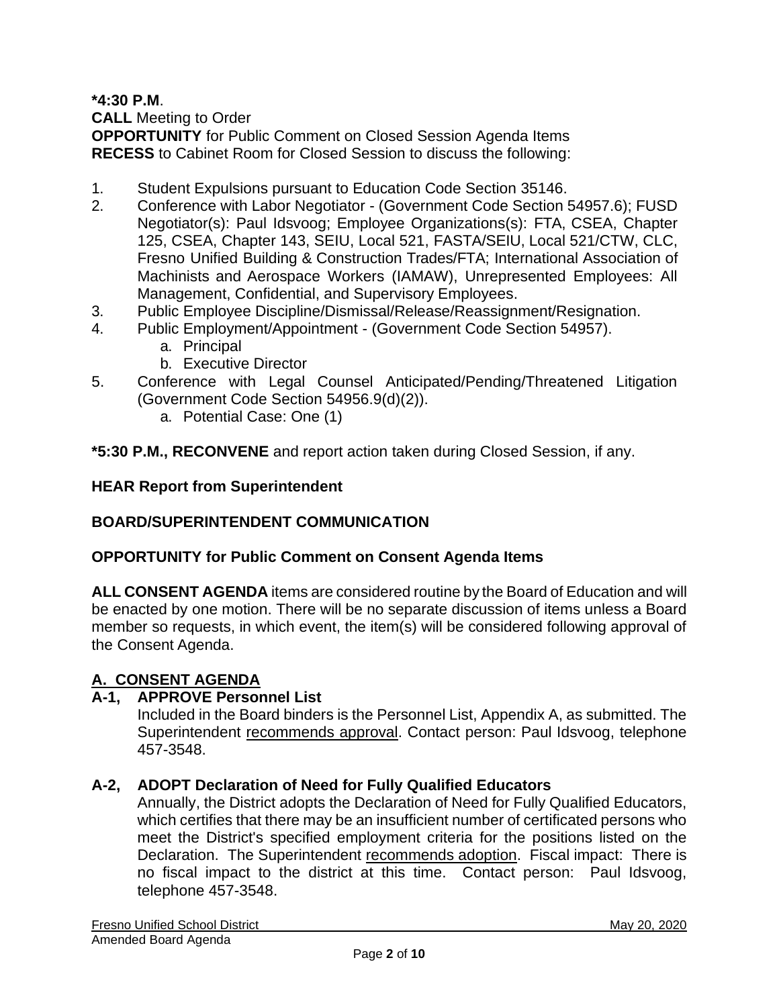**\*4:30 P.M**.

**CALL** Meeting to Order

**OPPORTUNITY** for Public Comment on Closed Session Agenda Items **RECESS** to Cabinet Room for Closed Session to discuss the following:

- 1. Student Expulsions pursuant to Education Code Section 35146.
- 2. Conference with Labor Negotiator (Government Code Section 54957.6); FUSD Negotiator(s): Paul Idsvoog; Employee Organizations(s): FTA, CSEA, Chapter 125, CSEA, Chapter 143, SEIU, Local 521, FASTA/SEIU, Local 521/CTW, CLC, Fresno Unified Building & Construction Trades/FTA; International Association of Machinists and Aerospace Workers (IAMAW), Unrepresented Employees: All Management, Confidential, and Supervisory Employees.
- 3. Public Employee Discipline/Dismissal/Release/Reassignment/Resignation.
- 4. Public Employment/Appointment (Government Code Section 54957).
	- a. Principal
	- b. Executive Director
- 5. Conference with Legal Counsel Anticipated/Pending/Threatened Litigation (Government Code Section 54956.9(d)(2)).
	- a. Potential Case: One (1)

**\*5:30 P.M., RECONVENE** and report action taken during Closed Session, if any.

## **HEAR Report from Superintendent**

## **BOARD/SUPERINTENDENT COMMUNICATION**

## **OPPORTUNITY for Public Comment on Consent Agenda Items**

**ALL CONSENT AGENDA** items are considered routine by the Board of Education and will be enacted by one motion. There will be no separate discussion of items unless a Board member so requests, in which event, the item(s) will be considered following approval of the Consent Agenda.

## **A. CONSENT AGENDA**

## **A-1, APPROVE Personnel List**

Included in the Board binders is the Personnel List, Appendix A, as submitted. The Superintendent recommends approval. Contact person: Paul Idsvoog, telephone 457-3548.

## **A-2, ADOPT Declaration of Need for Fully Qualified Educators**

Annually, the District adopts the Declaration of Need for Fully Qualified Educators, which certifies that there may be an insufficient number of certificated persons who meet the District's specified employment criteria for the positions listed on the Declaration. The Superintendent recommends adoption. Fiscal impact: There is no fiscal impact to the district at this time. Contact person: Paul Idsvoog, telephone 457-3548.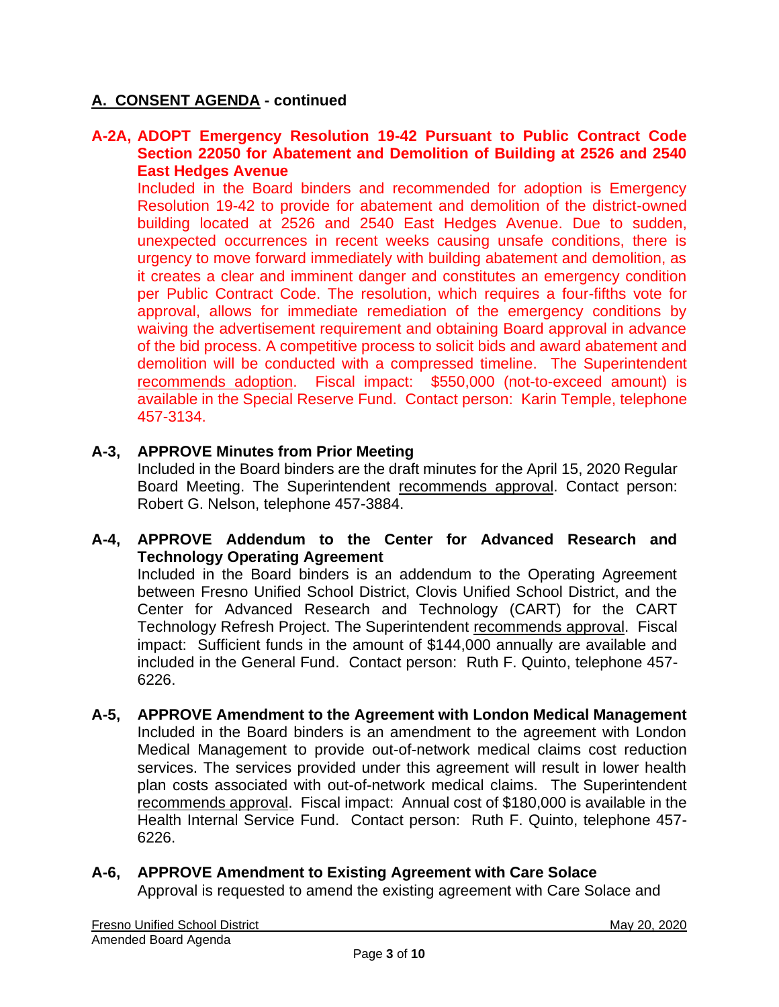#### **A-2A, ADOPT Emergency Resolution 19-42 Pursuant to Public Contract Code Section 22050 for Abatement and Demolition of Building at 2526 and 2540 East Hedges Avenue**

Included in the Board binders and recommended for adoption is Emergency Resolution 19-42 to provide for abatement and demolition of the district-owned building located at 2526 and 2540 East Hedges Avenue. Due to sudden, unexpected occurrences in recent weeks causing unsafe conditions, there is urgency to move forward immediately with building abatement and demolition, as it creates a clear and imminent danger and constitutes an emergency condition per Public Contract Code. The resolution, which requires a four-fifths vote for approval, allows for immediate remediation of the emergency conditions by waiving the advertisement requirement and obtaining Board approval in advance of the bid process. A competitive process to solicit bids and award abatement and demolition will be conducted with a compressed timeline. The Superintendent recommends adoption. Fiscal impact: \$550,000 (not-to-exceed amount) is available in the Special Reserve Fund. Contact person: Karin Temple, telephone 457-3134.

#### **A-3, APPROVE Minutes from Prior Meeting**

Included in the Board binders are the draft minutes for the April 15, 2020 Regular Board Meeting. The Superintendent recommends approval. Contact person: Robert G. Nelson, telephone 457-3884.

#### **A-4, APPROVE Addendum to the Center for Advanced Research and Technology Operating Agreement**

Included in the Board binders is an addendum to the Operating Agreement between Fresno Unified School District, Clovis Unified School District, and the Center for Advanced Research and Technology (CART) for the CART Technology Refresh Project. The Superintendent recommends approval. Fiscal impact: Sufficient funds in the amount of \$144,000 annually are available and included in the General Fund. Contact person: Ruth F. Quinto, telephone 457- 6226.

**A-5, APPROVE Amendment to the Agreement with London Medical Management** Included in the Board binders is an amendment to the agreement with London Medical Management to provide out-of-network medical claims cost reduction services. The services provided under this agreement will result in lower health plan costs associated with out-of-network medical claims. The Superintendent recommends approval. Fiscal impact: Annual cost of \$180,000 is available in the Health Internal Service Fund. Contact person: Ruth F. Quinto, telephone 457- 6226.

# **A-6, APPROVE Amendment to Existing Agreement with Care Solace** Approval is requested to amend the existing agreement with Care Solace and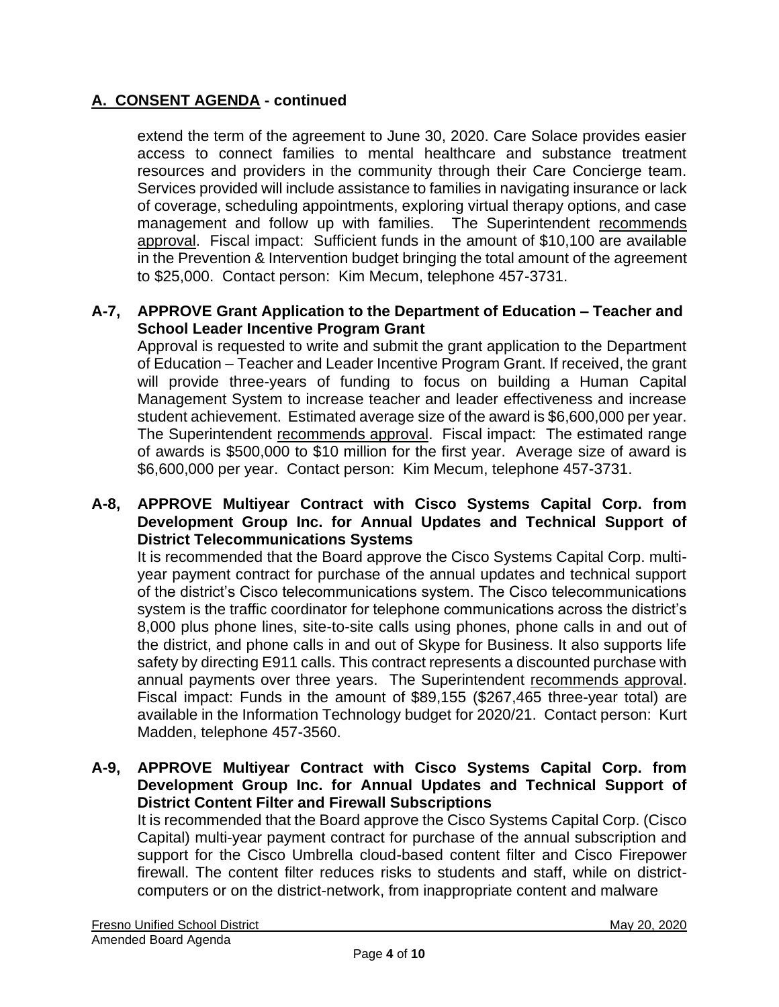extend the term of the agreement to June 30, 2020. Care Solace provides easier access to connect families to mental healthcare and substance treatment resources and providers in the community through their Care Concierge team. Services provided will include assistance to families in navigating insurance or lack of coverage, scheduling appointments, exploring virtual therapy options, and case management and follow up with families. The Superintendent recommends approval. Fiscal impact: Sufficient funds in the amount of \$10,100 are available in the Prevention & Intervention budget bringing the total amount of the agreement to \$25,000. Contact person: Kim Mecum, telephone 457-3731.

### **A-7, APPROVE Grant Application to the Department of Education – Teacher and School Leader Incentive Program Grant**

Approval is requested to write and submit the grant application to the Department of Education – Teacher and Leader Incentive Program Grant. If received, the grant will provide three-years of funding to focus on building a Human Capital Management System to increase teacher and leader effectiveness and increase student achievement. Estimated average size of the award is \$6,600,000 per year. The Superintendent recommends approval. Fiscal impact: The estimated range of awards is \$500,000 to \$10 million for the first year. Average size of award is \$6,600,000 per year. Contact person: Kim Mecum, telephone 457-3731.

#### **A-8, APPROVE Multiyear Contract with Cisco Systems Capital Corp. from Development Group Inc. for Annual Updates and Technical Support of District Telecommunications Systems**

It is recommended that the Board approve the Cisco Systems Capital Corp. multiyear payment contract for purchase of the annual updates and technical support of the district's Cisco telecommunications system. The Cisco telecommunications system is the traffic coordinator for telephone communications across the district's 8,000 plus phone lines, site-to-site calls using phones, phone calls in and out of the district, and phone calls in and out of Skype for Business. It also supports life safety by directing E911 calls. This contract represents a discounted purchase with annual payments over three years. The Superintendent recommends approval. Fiscal impact: Funds in the amount of \$89,155 (\$267,465 three-year total) are available in the Information Technology budget for 2020/21. Contact person: Kurt Madden, telephone 457-3560.

#### **A-9, APPROVE Multiyear Contract with Cisco Systems Capital Corp. from Development Group Inc. for Annual Updates and Technical Support of District Content Filter and Firewall Subscriptions**

It is recommended that the Board approve the Cisco Systems Capital Corp. (Cisco Capital) multi-year payment contract for purchase of the annual subscription and support for the Cisco Umbrella cloud-based content filter and Cisco Firepower firewall. The content filter reduces risks to students and staff, while on districtcomputers or on the district-network, from inappropriate content and malware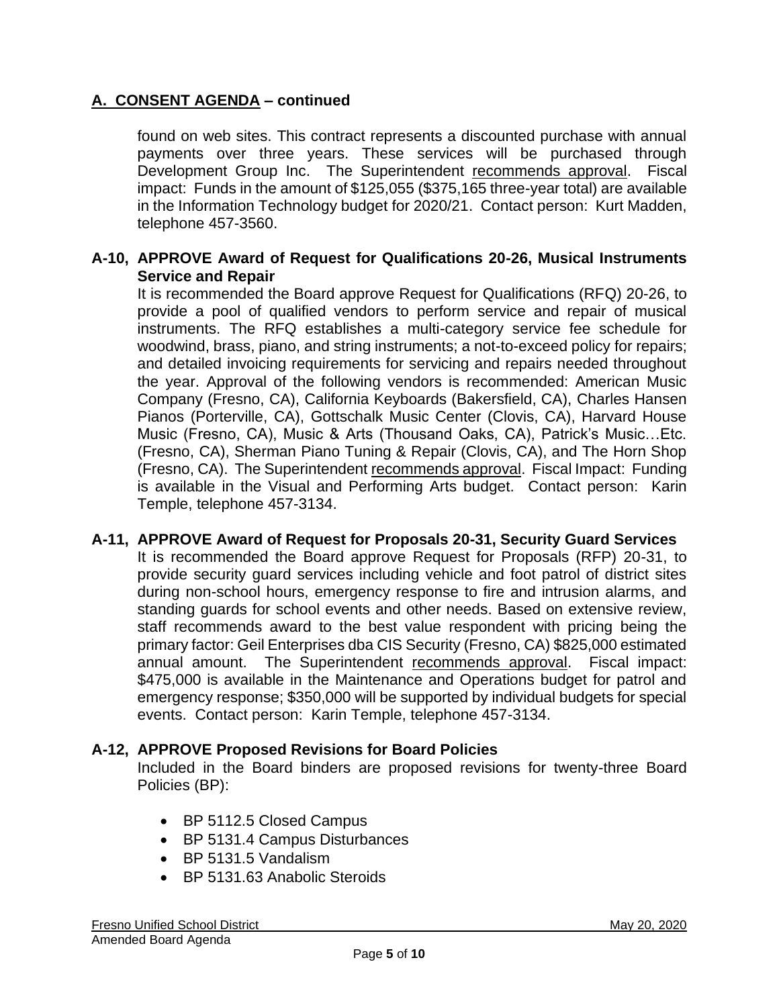found on web sites. This contract represents a discounted purchase with annual payments over three years. These services will be purchased through Development Group Inc. The Superintendent recommends approval. Fiscal impact: Funds in the amount of \$125,055 (\$375,165 three-year total) are available in the Information Technology budget for 2020/21. Contact person: Kurt Madden, telephone 457-3560.

#### **A-10, APPROVE Award of Request for Qualifications 20-26, Musical Instruments Service and Repair**

It is recommended the Board approve Request for Qualifications (RFQ) 20-26, to provide a pool of qualified vendors to perform service and repair of musical instruments. The RFQ establishes a multi-category service fee schedule for woodwind, brass, piano, and string instruments; a not-to-exceed policy for repairs; and detailed invoicing requirements for servicing and repairs needed throughout the year. Approval of the following vendors is recommended: American Music Company (Fresno, CA), California Keyboards (Bakersfield, CA), Charles Hansen Pianos (Porterville, CA), Gottschalk Music Center (Clovis, CA), Harvard House Music (Fresno, CA), Music & Arts (Thousand Oaks, CA), Patrick's Music…Etc. (Fresno, CA), Sherman Piano Tuning & Repair (Clovis, CA), and The Horn Shop (Fresno, CA). The Superintendent recommends approval. Fiscal Impact: Funding is available in the Visual and Performing Arts budget. Contact person: Karin Temple, telephone 457-3134.

## **A-11, APPROVE Award of Request for Proposals 20-31, Security Guard Services**

It is recommended the Board approve Request for Proposals (RFP) 20-31, to provide security guard services including vehicle and foot patrol of district sites during non-school hours, emergency response to fire and intrusion alarms, and standing guards for school events and other needs. Based on extensive review, staff recommends award to the best value respondent with pricing being the primary factor: Geil Enterprises dba CIS Security (Fresno, CA) \$825,000 estimated annual amount. The Superintendent recommends approval. Fiscal impact: \$475,000 is available in the Maintenance and Operations budget for patrol and emergency response; \$350,000 will be supported by individual budgets for special events. Contact person: Karin Temple, telephone 457-3134.

## **A-12, APPROVE Proposed Revisions for Board Policies**

Included in the Board binders are proposed revisions for twenty-three Board Policies (BP):

- BP 5112.5 Closed Campus
- BP 5131.4 Campus Disturbances
- BP 5131.5 Vandalism
- BP 5131.63 Anabolic Steroids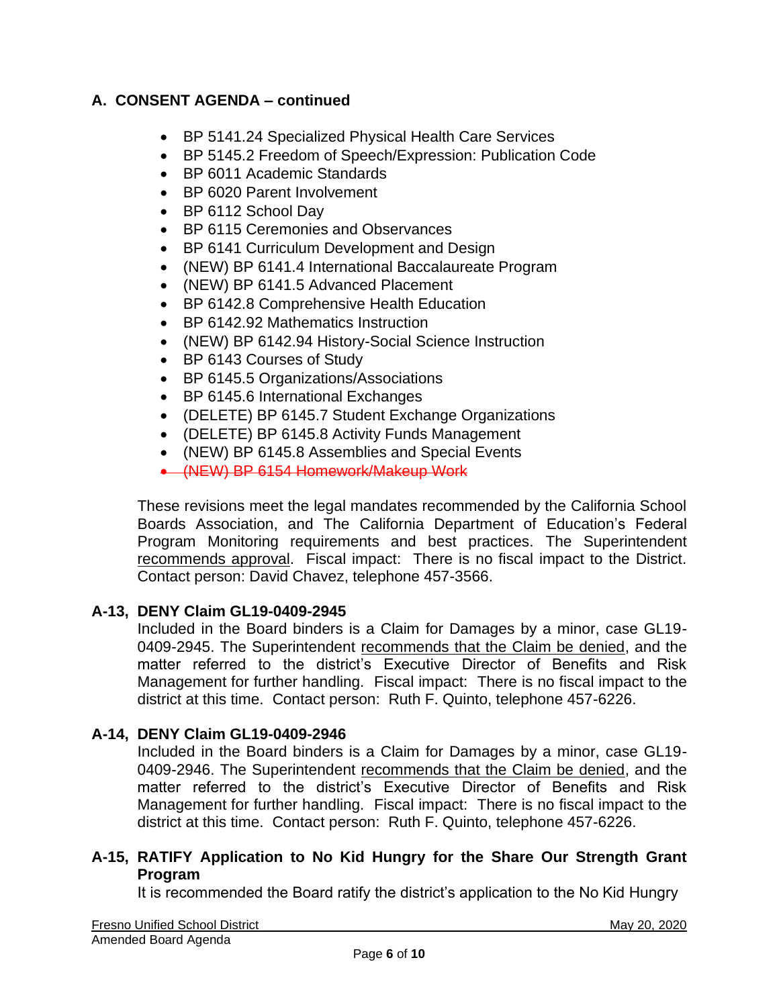- BP 5141.24 Specialized Physical Health Care Services
- BP 5145.2 Freedom of Speech/Expression: Publication Code
- BP 6011 Academic Standards
- BP 6020 Parent Involvement
- BP 6112 School Day
- BP 6115 Ceremonies and Observances
- BP 6141 Curriculum Development and Design
- (NEW) BP 6141.4 International Baccalaureate Program
- (NEW) BP 6141.5 Advanced Placement
- BP 6142.8 Comprehensive Health Education
- BP 6142.92 Mathematics Instruction
- (NEW) BP 6142.94 History-Social Science Instruction
- BP 6143 Courses of Study
- BP 6145.5 Organizations/Associations
- BP 6145.6 International Exchanges
- (DELETE) BP 6145.7 Student Exchange Organizations
- (DELETE) BP 6145.8 Activity Funds Management
- (NEW) BP 6145.8 Assemblies and Special Events
- (NEW) BP 6154 Homework/Makeup Work

These revisions meet the legal mandates recommended by the California School Boards Association, and The California Department of Education's Federal Program Monitoring requirements and best practices. The Superintendent recommends approval. Fiscal impact: There is no fiscal impact to the District. Contact person: David Chavez, telephone 457-3566.

## **A-13, DENY Claim GL19-0409-2945**

Included in the Board binders is a Claim for Damages by a minor, case GL19- 0409-2945. The Superintendent recommends that the Claim be denied, and the matter referred to the district's Executive Director of Benefits and Risk Management for further handling. Fiscal impact: There is no fiscal impact to the district at this time. Contact person: Ruth F. Quinto, telephone 457-6226.

# **A-14, DENY Claim GL19-0409-2946**

Included in the Board binders is a Claim for Damages by a minor, case GL19- 0409-2946. The Superintendent recommends that the Claim be denied, and the matter referred to the district's Executive Director of Benefits and Risk Management for further handling. Fiscal impact: There is no fiscal impact to the district at this time. Contact person: Ruth F. Quinto, telephone 457-6226.

#### **A-15, RATIFY Application to No Kid Hungry for the Share Our Strength Grant Program**

It is recommended the Board ratify the district's application to the No Kid Hungry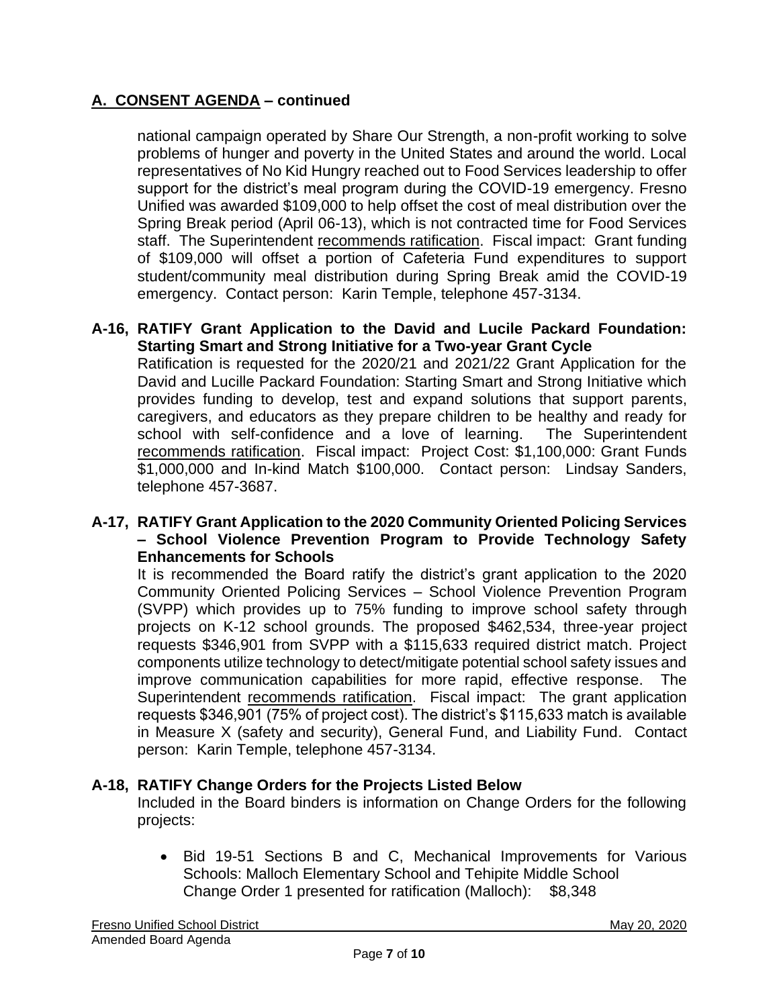national campaign operated by Share Our Strength, a non-profit working to solve problems of hunger and poverty in the United States and around the world. Local representatives of No Kid Hungry reached out to Food Services leadership to offer support for the district's meal program during the COVID-19 emergency. Fresno Unified was awarded \$109,000 to help offset the cost of meal distribution over the Spring Break period (April 06-13), which is not contracted time for Food Services staff. The Superintendent recommends ratification. Fiscal impact: Grant funding of \$109,000 will offset a portion of Cafeteria Fund expenditures to support student/community meal distribution during Spring Break amid the COVID-19 emergency. Contact person: Karin Temple, telephone 457-3134.

### **A-16, RATIFY Grant Application to the David and Lucile Packard Foundation: Starting Smart and Strong Initiative for a Two-year Grant Cycle**

Ratification is requested for the 2020/21 and 2021/22 Grant Application for the David and Lucille Packard Foundation: Starting Smart and Strong Initiative which provides funding to develop, test and expand solutions that support parents, caregivers, and educators as they prepare children to be healthy and ready for school with self-confidence and a love of learning. The Superintendent recommends ratification. Fiscal impact: Project Cost: \$1,100,000: Grant Funds \$1,000,000 and In-kind Match \$100,000. Contact person: Lindsay Sanders, telephone 457-3687.

#### **A-17, RATIFY Grant Application to the 2020 Community Oriented Policing Services – School Violence Prevention Program to Provide Technology Safety Enhancements for Schools**

It is recommended the Board ratify the district's grant application to the 2020 Community Oriented Policing Services – School Violence Prevention Program (SVPP) which provides up to 75% funding to improve school safety through projects on K-12 school grounds. The proposed \$462,534, three-year project requests \$346,901 from SVPP with a \$115,633 required district match. Project components utilize technology to detect/mitigate potential school safety issues and improve communication capabilities for more rapid, effective response. The Superintendent recommends ratification. Fiscal impact: The grant application requests \$346,901 (75% of project cost). The district's \$115,633 match is available in Measure X (safety and security), General Fund, and Liability Fund. Contact person: Karin Temple, telephone 457-3134.

## **A-18, RATIFY Change Orders for the Projects Listed Below**

Included in the Board binders is information on Change Orders for the following projects:

• Bid 19-51 Sections B and C, Mechanical Improvements for Various Schools: Malloch Elementary School and Tehipite Middle School Change Order 1 presented for ratification (Malloch): \$8,348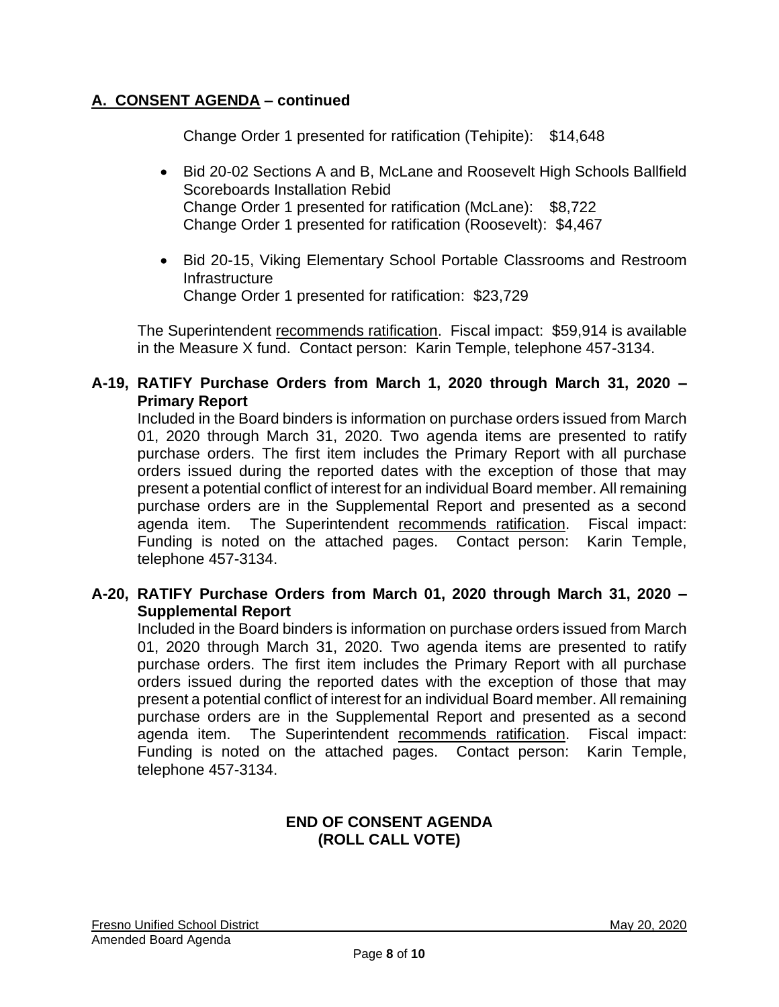Change Order 1 presented for ratification (Tehipite): \$14,648

- Bid 20-02 Sections A and B, McLane and Roosevelt High Schools Ballfield Scoreboards Installation Rebid Change Order 1 presented for ratification (McLane): \$8,722 Change Order 1 presented for ratification (Roosevelt): \$4,467
- Bid 20-15, Viking Elementary School Portable Classrooms and Restroom Infrastructure Change Order 1 presented for ratification: \$23,729

The Superintendent recommends ratification. Fiscal impact: \$59,914 is available in the Measure X fund. Contact person: Karin Temple, telephone 457-3134.

#### **A-19, RATIFY Purchase Orders from March 1, 2020 through March 31, 2020 – Primary Report**

Included in the Board binders is information on purchase orders issued from March 01, 2020 through March 31, 2020. Two agenda items are presented to ratify purchase orders. The first item includes the Primary Report with all purchase orders issued during the reported dates with the exception of those that may present a potential conflict of interest for an individual Board member. All remaining purchase orders are in the Supplemental Report and presented as a second agenda item. The Superintendent recommends ratification. Fiscal impact: Funding is noted on the attached pages. Contact person: Karin Temple, telephone 457-3134.

#### **A-20, RATIFY Purchase Orders from March 01, 2020 through March 31, 2020 – Supplemental Report**

Included in the Board binders is information on purchase orders issued from March 01, 2020 through March 31, 2020. Two agenda items are presented to ratify purchase orders. The first item includes the Primary Report with all purchase orders issued during the reported dates with the exception of those that may present a potential conflict of interest for an individual Board member. All remaining purchase orders are in the Supplemental Report and presented as a second agenda item. The Superintendent recommends ratification. Fiscal impact: Funding is noted on the attached pages. Contact person: Karin Temple, telephone 457-3134.

## **END OF CONSENT AGENDA (ROLL CALL VOTE)**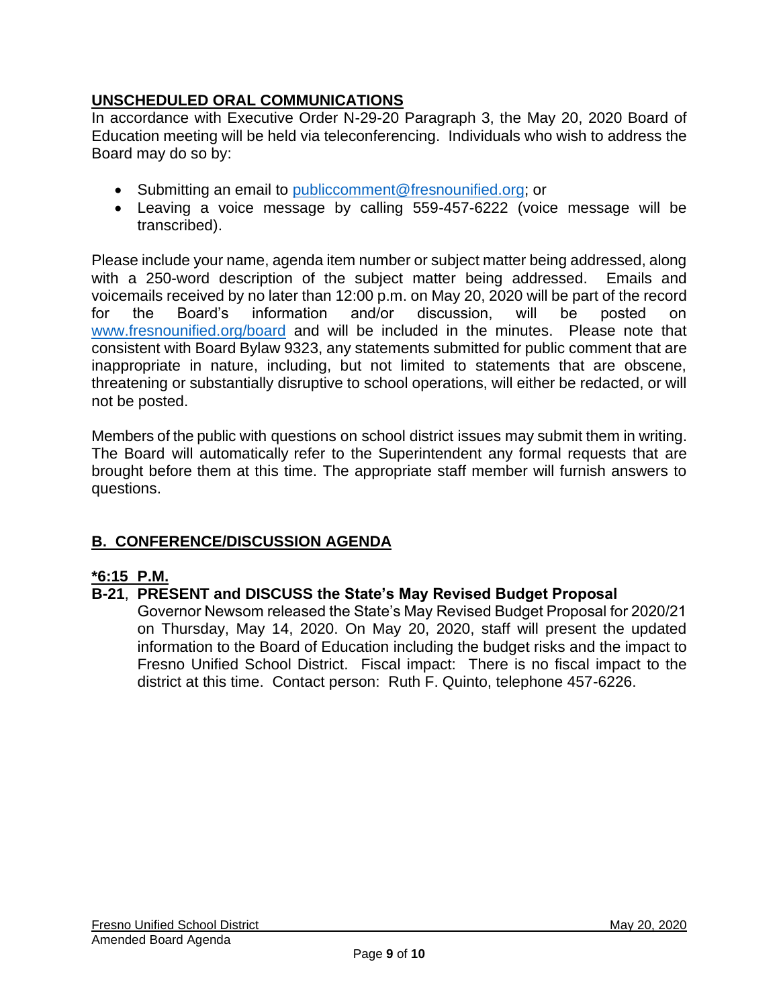# **UNSCHEDULED ORAL COMMUNICATIONS**

In accordance with Executive Order N-29-20 Paragraph 3, the May 20, 2020 Board of Education meeting will be held via teleconferencing. Individuals who wish to address the Board may do so by:

- Submitting an email to [publiccomment@fresnounified.org;](mailto:publiccomment@fresnounified.org) or
- Leaving a voice message by calling 559-457-6222 (voice message will be transcribed).

Please include your name, agenda item number or subject matter being addressed, along with a 250-word description of the subject matter being addressed. Emails and voicemails received by no later than 12:00 p.m. on May 20, 2020 will be part of the record for the Board's information and/or discussion, will be posted on [www.fresnounified.org/board](http://www.fresnounified.org/board) and will be included in the minutes. Please note that consistent with Board Bylaw 9323, any statements submitted for public comment that are inappropriate in nature, including, but not limited to statements that are obscene, threatening or substantially disruptive to school operations, will either be redacted, or will not be posted.

Members of the public with questions on school district issues may submit them in writing. The Board will automatically refer to the Superintendent any formal requests that are brought before them at this time. The appropriate staff member will furnish answers to questions.

# **B. CONFERENCE/DISCUSSION AGENDA**

## **\*6:15 P.M.**

# **B-21**, **PRESENT and DISCUSS the State's May Revised Budget Proposal**

Governor Newsom released the State's May Revised Budget Proposal for 2020/21 on Thursday, May 14, 2020. On May 20, 2020, staff will present the updated information to the Board of Education including the budget risks and the impact to Fresno Unified School District. Fiscal impact: There is no fiscal impact to the district at this time. Contact person: Ruth F. Quinto, telephone 457-6226.